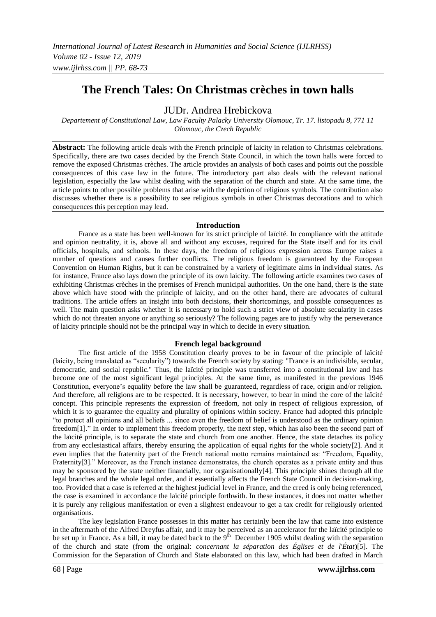# **The French Tales: On Christmas crèches in town halls**

# JUDr. Andrea Hrebickova

*Departement of Constitutional Law, Law Faculty Palacky University Olomouc, Tr. 17. listopadu 8, 771 11 Olomouc, the Czech Republic*

**Abstract:** The following article deals with the French principle of laicity in relation to Christmas celebrations. Specifically, there are two cases decided by the French State Council, in which the town halls were forced to remove the exposed Christmas crèches. The article provides an analysis of both cases and points out the possible consequences of this case law in the future. The introductory part also deals with the relevant national legislation, especially the law whilst dealing with the separation of the church and state. At the same time, the article points to other possible problems that arise with the depiction of religious symbols. The contribution also discusses whether there is a possibility to see religious symbols in other Christmas decorations and to which consequences this perception may lead.

## **Introduction**

France as a state has been well-known for its strict principle of laïcité. In compliance with the attitude and opinion neutrality, it is, above all and without any excuses, required for the State itself and for its civil officials, hospitals, and schools. In these days, the freedom of religious expression across Europe raises a number of questions and causes further conflicts. The religious freedom is guaranteed by the European Convention on Human Rights, but it can be constrained by a variety of legitimate aims in individual states. As for instance, France also lays down the principle of its own laicity. The following article examines two cases of exhibiting Christmas crèches in the premises of French municipal authorities. On the one hand, there is the state above which have stood with the principle of laicity, and on the other hand, there are advocates of cultural traditions. The article offers an insight into both decisions, their shortcomings, and possible consequences as well. The main question asks whether it is necessary to hold such a strict view of absolute secularity in cases which do not threaten anyone or anything so seriously? The following pages are to justify why the perseverance of laicity principle should not be the principal way in which to decide in every situation.

# **French legal background**

The first article of the 1958 Constitution clearly proves to be in favour of the principle of laïcité (laicity, being translated as "secularity") towards the French society by stating: "France is an indivisible, secular, democratic, and social republic." Thus, the laïcité principle was transferred into a constitutional law and has become one of the most significant legal principles. At the same time, as manifested in the previous 1946 Constitution, everyone's equality before the law shall be guaranteed, regardless of race, origin and/or religion. And therefore, all religions are to be respected. It is necessary, however, to bear in mind the core of the laïcité concept. This principle represents the expression of freedom, not only in respect of religious expression, of which it is to guarantee the equality and plurality of opinions within society. France had adopted this principle "to protect all opinions and all beliefs ... since even the freedom of belief is understood as the ordinary opinion freedom[1]." In order to implement this freedom properly, the next step, which has also been the second part of the laïcité principle, is to separate the state and church from one another. Hence, the state detaches its policy from any ecclesiastical affairs, thereby ensuring the application of equal rights for the whole society[2]. And it even implies that the fraternity part of the French national motto remains maintained as: "Freedom, Equality, Fraternity[3]." Moreover, as the French instance demonstrates, the church operates as a private entity and thus may be sponsored by the state neither financially, nor organisationally[4]. This principle shines through all the legal branches and the whole legal order, and it essentially affects the French State Council in decision-making, too. Provided that a case is referred at the highest judicial level in France, and the creed is only being referenced, the case is examined in accordance the laïcité principle forthwith. In these instances, it does not matter whether it is purely any religious manifestation or even a slightest endeavour to get a tax credit for religiously oriented organisations.

The key legislation France possesses in this matter has certainly been the law that came into existence in the aftermath of the Alfred Dreyfus affair, and it may be perceived as an accelerator for the laïcité principle to be set up in France. As a bill, it may be dated back to the  $9<sup>th</sup>$  December 1905 whilst dealing with the separation of the church and state (from the original: *concernant la séparation des Églises et de l'État*)[5]. The Commission for the Separation of Church and State elaborated on this law, which had been drafted in March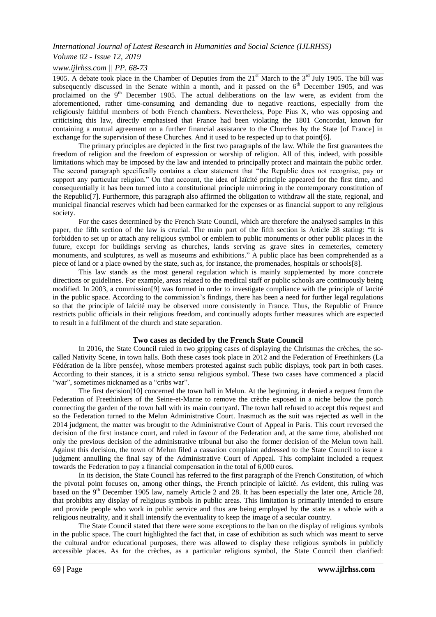# *Volume 02 - Issue 12, 2019*

# *www.ijlrhss.com || PP. 68-73*

1905. A debate took place in the Chamber of Deputies from the  $21<sup>st</sup>$  March to the  $3<sup>rd</sup>$  July 1905. The bill was subsequently discussed in the Senate within a month, and it passed on the 6<sup>th</sup> December 1905, and was proclaimed on the 9<sup>th</sup> December 1905. The actual deliberations on the law were, as evident from the proclaimed on the 9<sup>th</sup> December 1905. The actual deliberations on the law were, as evident from the aforementioned, rather time-consuming and demanding due to negative reactions, especially from the religiously faithful members of both French chambers. Nevertheless, Pope Pius X, who was opposing and criticising this law, directly emphasised that France had been violating the 1801 Concordat, known for containing a mutual agreement on a further financial assistance to the Churches by the State [of France] in exchange for the supervision of these Churches. And it used to be respected up to that point[6].

The primary principles are depicted in the first two paragraphs of the law. While the first guarantees the freedom of religion and the freedom of expression or worship of religion. All of this, indeed, with possible limitations which may be imposed by the law and intended to principally protect and maintain the public order. The second paragraph specifically contains a clear statement that "the Republic does not recognise, pay or support any particular religion." On that account, the idea of laïcité principle appeared for the first time, and consequentially it has been turned into a constitutional principle mirroring in the contemporary constitution of the Republic[7]. Furthermore, this paragraph also affirmed the obligation to withdraw all the state, regional, and municipal financial reserves which had been earmarked for the expenses or as financial support to any religious society.

For the cases determined by the French State Council, which are therefore the analysed samples in this paper, the fifth section of the law is crucial. The main part of the fifth section is Article 28 stating: "It is forbidden to set up or attach any religious symbol or emblem to public monuments or other public places in the future, except for buildings serving as churches, lands serving as grave sites in cemeteries, cemetery monuments, and sculptures, as well as museums and exhibitions." A public place has been comprehended as a piece of land or a place owned by the state, such as, for instance, the promenades, hospitals or schools[8].

This law stands as the most general regulation which is mainly supplemented by more concrete directions or guidelines. For example, areas related to the medical staff or public schools are continuously being modified. In 2003, a commission[9] was formed in order to investigate compliance with the principle of laïcité in the public space. According to the commission's findings, there has been a need for further legal regulations so that the principle of laïcité may be observed more consistently in France. Thus, the Republic of France restricts public officials in their religious freedom, and continually adopts further measures which are expected to result in a fulfilment of the church and state separation.

# **Two cases as decided by the French State Council**

In 2016, the State Council ruled in two gripping cases of displaying the Christmas the crèches, the socalled Nativity Scene, in town halls. Both these cases took place in 2012 and the Federation of Freethinkers (La Fédération de la libre pensée), whose members protested against such public displays, took part in both cases. According to their stances, it is a stricto sensu religious symbol. These two cases have commenced a placid "war", sometimes nicknamed as a "cribs war".

The first decision[10] concerned the town hall in Melun. At the beginning, it denied a request from the Federation of Freethinkers of the Seine-et-Marne to remove the crèche exposed in a niche below the porch connecting the garden of the town hall with its main courtyard. The town hall refused to accept this request and so the Federation turned to the Melun Administrative Court. Inasmuch as the suit was rejected as well in the 2014 judgment, the matter was brought to the Administrative Court of Appeal in Paris. This court reversed the decision of the first instance court, and ruled in favour of the Federation and, at the same time, abolished not only the previous decision of the administrative tribunal but also the former decision of the Melun town hall. Against this decision, the town of Melun filed a cassation complaint addressed to the State Council to issue a judgment annulling the final say of the Administrative Court of Appeal. This complaint included a request towards the Federation to pay a financial compensation in the total of 6,000 euros.

In its decision, the State Council has referred to the first paragraph of the French Constitution, of which the pivotal point focuses on, among other things, the French principle of laïcité. As evident, this ruling was based on the 9<sup>th</sup> December 1905 law, namely Article 2 and 28. It has been especially the later one, Article 28, that prohibits any display of religious symbols in public areas. This limitation is primarily intended to ensure and provide people who work in public service and thus are being employed by the state as a whole with a religious neutrality, and it shall intensify the eventuality to keep the image of a secular country.

The State Council stated that there were some exceptions to the ban on the display of religious symbols in the public space. The court highlighted the fact that, in case of exhibition as such which was meant to serve the cultural and/or educational purposes, there was allowed to display these religious symbols in publicly accessible places. As for the crèches, as a particular religious symbol, the State Council then clarified: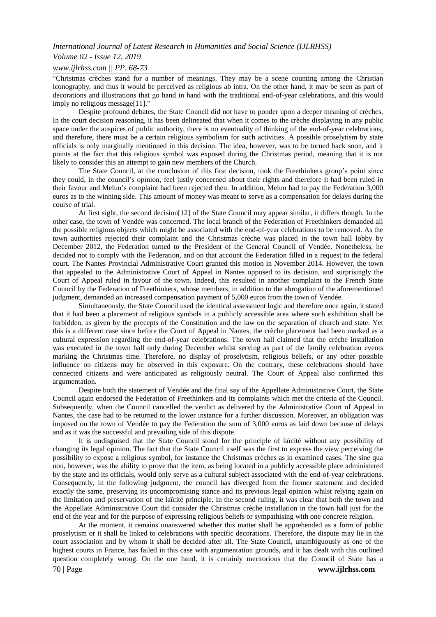#### *Volume 02 - Issue 12, 2019*

#### *www.ijlrhss.com || PP. 68-73*

"Christmas crèches stand for a number of meanings. They may be a scene counting among the Christian iconography, and thus it would be perceived as religious ab intra. On the other hand, it may be seen as part of decorations and illustrations that go hand in hand with the traditional end-of-year celebrations, and this would imply no religious message[11]."

Despite profound debates, the State Council did not have to ponder upon a deeper meaning of crèches. In the court decision reasoning, it has been delineated that when it comes to the crèche displaying in any public space under the auspices of public authority, there is no eventuality of thinking of the end-of-year celebrations, and therefore, there must be a certain religious symbolism for such activities. A possible proselytism by state officials is only marginally mentioned in this decision. The idea, however, was to be turned back soon, and it points at the fact that this religious symbol was exposed during the Christmas period, meaning that it is not likely to consider this an attempt to gain new members of the Church.

The State Council, at the conclusion of this first decision, took the Freethinkers group's point since they could, in the council's opinion, feel justly concerned about their rights and therefore it had been ruled in their favour and Melun's complaint had been rejected then. In addition, Melun had to pay the Federation 3,000 euros as to the winning side. This amount of money was meant to serve as a compensation for delays during the course of trial.

At first sight, the second decision[12] of the State Council may appear similar, it differs though. In the other case, the town of Vendée was concerned. The local branch of the Federation of Freethinkers demanded all the possible religious objects which might be associated with the end-of-year celebrations to be removed. As the town authorities rejected their complaint and the Christmas crèche was placed in the town hall lobby by December 2012, the Federation turned to the President of the General Council of Vendée. Nonetheless, he decided not to comply with the Federation, and on that account the Federation filled in a request to the federal court. The Nantes Provincial Administrative Court granted this motion in November 2014. However, the town that appealed to the Administrative Court of Appeal in Nantes opposed to its decision, and surprisingly the Court of Appeal ruled in favour of the town. Indeed, this resulted in another complaint to the French State Council by the Federation of Freethinkers, whose members, in addition to the abrogation of the aforementioned judgment, demanded an increased compensation payment of 5,000 euros from the town of Vendée.

Simultaneously, the State Council used the identical assessment logic and therefore once again, it stated that it had been a placement of religious symbols in a publicly accessible area where such exhibition shall be forbidden, as given by the precepts of the Constitution and the law on the separation of church and state. Yet this is a different case since before the Court of Appeal in Nantes, the crèche placement had been marked as a cultural expression regarding the end-of-year celebrations. The town hall claimed that the crèche installation was executed in the town hall only during December whilst serving as part of the family celebration events marking the Christmas time. Therefore, no display of proselytism, religious beliefs, or any other possible influence on citizens may be observed in this exposure. On the contrary, these celebrations should have connected citizens and were anticipated as religiously neutral. The Court of Appeal also confirmed this argumentation.

Despite both the statement of Vendée and the final say of the Appellate Administrative Court, the State Council again endorsed the Federation of Freethinkers and its complaints which met the criteria of the Council. Subsequently, when the Council cancelled the verdict as delivered by the Administrative Court of Appeal in Nantes, the case had to be returned to the lower instance for a further discussion. Moreover, an obligation was imposed on the town of Vendée to pay the Federation the sum of 3,000 euros as laid down because of delays and as it was the successful and prevailing side of this dispute.

It is undisguised that the State Council stood for the principle of laïcité without any possibility of changing its legal opinion. The fact that the State Council itself was the first to express the view perceiving the possibility to expose a religious symbol, for instance the Christmas crèches as in examined cases. The sine qua non, however, was the ability to prove that the item, as being located in a publicly accessible place administered by the state and its officials, would only serve as a cultural subject associated with the end-of-year celebrations. Consequently, in the following judgment, the council has diverged from the former statement and decided exactly the same, preserving its uncompromising stance and its previous legal opinion whilst relying again on the limitation and preservation of the laïcité principle. In the second ruling, it was clear that both the town and the Appellate Administrative Court did consider the Christmas crèche installation in the town hall just for the end of the year and for the purpose of expressing religious beliefs or sympathising with one concrete religion.

At the moment, it remains unanswered whether this matter shall be apprehended as a form of public proselytism or it shall be linked to celebrations with specific decorations. Therefore, the dispute may lie in the court association and by whom it shall be decided after all. The State Council, unambiguously as one of the highest courts in France, has failed in this case with argumentation grounds, and it has dealt with this outlined question completely wrong. On the one hand, it is certainly meritorious that the Council of State has a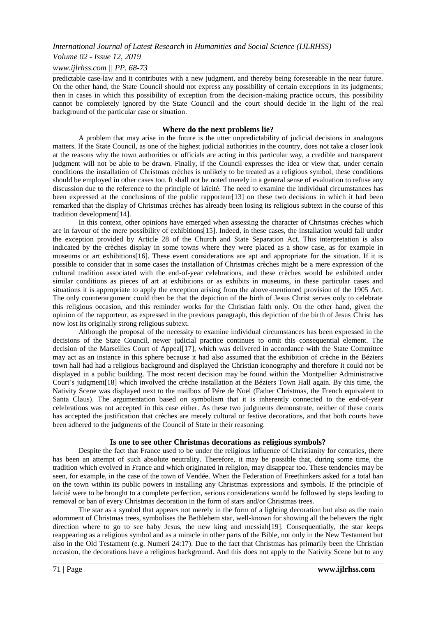#### *Volume 02 - Issue 12, 2019*

#### *www.ijlrhss.com || PP. 68-73*

predictable case-law and it contributes with a new judgment, and thereby being foreseeable in the near future. On the other hand, the State Council should not express any possibility of certain exceptions in its judgments; then in cases in which this possibility of exception from the decision-making practice occurs, this possibility cannot be completely ignored by the State Council and the court should decide in the light of the real background of the particular case or situation.

#### **Where do the next problems lie?**

A problem that may arise in the future is the utter unpredictability of judicial decisions in analogous matters. If the State Council, as one of the highest judicial authorities in the country, does not take a closer look at the reasons why the town authorities or officials are acting in this particular way, a credible and transparent judgment will not be able to be drawn. Finally, if the Council expresses the idea or view that, under certain conditions the installation of Christmas crèches is unlikely to be treated as a religious symbol, these conditions should be employed in other cases too. It shall not be noted merely in a general sense of evaluation to refuse any discussion due to the reference to the principle of laïcité. The need to examine the individual circumstances has been expressed at the conclusions of the public rapporteur[13] on these two decisions in which it had been remarked that the display of Christmas crèches has already been losing its religious subtext in the course of this tradition development[14].

In this context, other opinions have emerged when assessing the character of Christmas crèches which are in favour of the mere possibility of exhibitions[15]. Indeed, in these cases, the installation would fall under the exception provided by Article 28 of the Church and State Separation Act. This interpretation is also indicated by the crèches display in some towns where they were placed as a show case, as for example in museums or art exhibitions[16]. These event considerations are apt and appropriate for the situation. If it is possible to consider that in some cases the installation of Christmas crèches might be a mere expression of the cultural tradition associated with the end-of-year celebrations, and these crèches would be exhibited under similar conditions as pieces of art at exhibitions or as exhibits in museums, in these particular cases and situations it is appropriate to apply the exception arising from the above-mentioned provision of the 1905 Act. The only counterargument could then be that the depiction of the birth of Jesus Christ serves only to celebrate this religious occasion, and this reminder works for the Christian faith only. On the other hand, given the opinion of the rapporteur, as expressed in the previous paragraph, this depiction of the birth of Jesus Christ has now lost its originally strong religious subtext.

Although the proposal of the necessity to examine individual circumstances has been expressed in the decisions of the State Council, newer judicial practice continues to omit this consequential element. The decision of the Marseilles Court of Appeal<sup>[17]</sup>, which was delivered in accordance with the State Committee may act as an instance in this sphere because it had also assumed that the exhibition of crèche in the Béziers town hall had had a religious background and displayed the Christian iconography and therefore it could not be displayed in a public building. The most recent decision may be found within the Montpellier Administrative Court's judgment[18] which involved the crèche installation at the Béziers Town Hall again. By this time, the Nativity Scene was displayed next to the mailbox of Pére de Noël (Father Christmas, the French equivalent to Santa Claus). The argumentation based on symbolism that it is inherently connected to the end-of-year celebrations was not accepted in this case either. As these two judgments demonstrate, neither of these courts has accepted the justification that crèches are merely cultural or festive decorations, and that both courts have been adhered to the judgments of the Council of State in their reasoning.

#### **Is one to see other Christmas decorations as religious symbols?**

Despite the fact that France used to be under the religious influence of Christianity for centuries, there has been an attempt of such absolute neutrality. Therefore, it may be possible that, during some time, the tradition which evolved in France and which originated in religion, may disappear too. These tendencies may be seen, for example, in the case of the town of Vendée. When the Federation of Freethinkers asked for a total ban on the town within its public powers in installing any Christmas expressions and symbols. If the principle of laïcité were to be brought to a complete perfection, serious considerations would be followed by steps leading to removal or ban of every Christmas decoration in the form of stars and/or Christmas trees.

The star as a symbol that appears not merely in the form of a lighting decoration but also as the main adornment of Christmas trees, symbolises the Bethlehem star, well-known for showing all the believers the right direction where to go to see baby Jesus, the new king and messiah[19]. Consequentially, the star keeps reappearing as a religious symbol and as a miracle in other parts of the Bible, not only in the New Testament but also in the Old Testament (e.g. Numeri 24:17). Due to the fact that Christmas has primarily been the Christian occasion, the decorations have a religious background. And this does not apply to the Nativity Scene but to any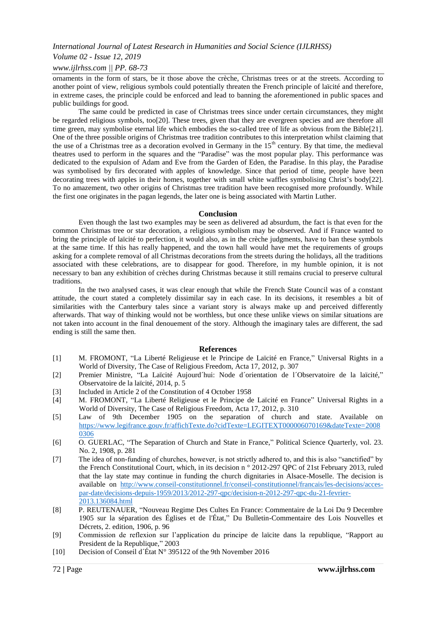# *Volume 02 - Issue 12, 2019*

## *www.ijlrhss.com || PP. 68-73*

ornaments in the form of stars, be it those above the crèche, Christmas trees or at the streets. According to another point of view, religious symbols could potentially threaten the French principle of laïcité and therefore, in extreme cases, the principle could be enforced and lead to banning the aforementioned in public spaces and public buildings for good.

The same could be predicted in case of Christmas trees since under certain circumstances, they might be regarded religious symbols, too[20]. These trees, given that they are evergreen species and are therefore all time green, may symbolise eternal life which embodies the so-called tree of life as obvious from the Bible[21]. One of the three possible origins of Christmas tree tradition contributes to this interpretation whilst claiming that the use of a Christmas tree as a decoration evolved in Germany in the 15<sup>th</sup> century. By that time, the medieval theatres used to perform in the squares and the "Paradise" was the most popular play. This performance was dedicated to the expulsion of Adam and Eve from the Garden of Eden, the Paradise. In this play, the Paradise was symbolised by firs decorated with apples of knowledge. Since that period of time, people have been decorating trees with apples in their homes, together with small white waffles symbolising Christ's body[22]. To no amazement, two other origins of Christmas tree tradition have been recognised more profoundly. While the first one originates in the pagan legends, the later one is being associated with Martin Luther.

#### **Conclusion**

Even though the last two examples may be seen as delivered ad absurdum, the fact is that even for the common Christmas tree or star decoration, a religious symbolism may be observed. And if France wanted to bring the principle of laïcité to perfection, it would also, as in the crèche judgments, have to ban these symbols at the same time. If this has really happened, and the town hall would have met the requirements of groups asking for a complete removal of all Christmas decorations from the streets during the holidays, all the traditions associated with these celebrations, are to disappear for good. Therefore, in my humble opinion, it is not necessary to ban any exhibition of crèches during Christmas because it still remains crucial to preserve cultural traditions.

In the two analysed cases, it was clear enough that while the French State Council was of a constant attitude, the court stated a completely dissimilar say in each case. In its decisions, it resembles a bit of similarities with the Canterbury tales since a variant story is always make up and perceived differently afterwards. That way of thinking would not be worthless, but once these unlike views on similar situations are not taken into account in the final denouement of the story. Although the imaginary tales are different, the sad ending is still the same then.

#### **References**

- [1] M. FROMONT, "La Liberté Religieuse et le Principe de Laïcité en France," Universal Rights in a World of Diversity, The Case of Religious Freedom, Acta 17, 2012, p. 307
- [2] Premier Ministre, "La Laïcité Aujourd´hui: Node d´orientation de l´Observatoire de la laïcité," Observatoire de la laïcité, 2014, p. 5
- [3] Included in Article 2 of the Constitution of 4 October 1958
- [4] M. FROMONT, "La Liberté Religieuse et le Principe de Laïcité en France" Universal Rights in a World of Diversity, The Case of Religious Freedom, Acta 17, 2012, p. 310
- [5] Law of 9th December 1905 on the separation of church and state. Available on [https://www.legifrance.gouv.fr/affichTexte.do?cidTexte=LEGITEXT000006070169&dateTexte=2008](https://www.legifrance.gouv.fr/affichTexte.do?cidTexte=LEGITEXT000006070169&dateTexte=20080306) [0306](https://www.legifrance.gouv.fr/affichTexte.do?cidTexte=LEGITEXT000006070169&dateTexte=20080306)
- [6] O. GUERLAC, "The Separation of Church and State in France," Political Science Quarterly, vol. 23. No. 2, 1908, p. 281
- [7] The idea of non-funding of churches, however, is not strictly adhered to, and this is also "sanctified" by the French Constitutional Court, which, in its decision n ° 2012-297 QPC of 21st February 2013, ruled that the lay state may continue in funding the church dignitaries in Alsace-Moselle. The decision is available on [http://www.conseil-constitutionnel.fr/conseil-constitutionnel/francais/les-decisions/acces](http://www.conseil-constitutionnel.fr/conseil-constitutionnel/francais/les-decisions/acces-par-date/decisions-depuis-1959/2013/2012-297-qpc/decision-n-2012-297-qpc-du-21-fevrier-2013.136084.html)[par-date/decisions-depuis-1959/2013/2012-297-qpc/decision-n-2012-297-qpc-du-21-fevrier-](http://www.conseil-constitutionnel.fr/conseil-constitutionnel/francais/les-decisions/acces-par-date/decisions-depuis-1959/2013/2012-297-qpc/decision-n-2012-297-qpc-du-21-fevrier-2013.136084.html)[2013.136084.html](http://www.conseil-constitutionnel.fr/conseil-constitutionnel/francais/les-decisions/acces-par-date/decisions-depuis-1959/2013/2012-297-qpc/decision-n-2012-297-qpc-du-21-fevrier-2013.136084.html)
- [8] P. REUTENAUER, "Nouveau Regime Des Cultes En France: Commentaire de la Loi Du 9 Decembre 1905 sur la séparation des Églises et de l'État," Du Bulletin-Commentaire des Lois Nouvelles et Décrets, 2. edition, 1906, p. 96
- [9] Commission de reflexion sur l'application du principe de laïcite dans la republique, "Rapport au President de la Republique," 2003
- [10] Decision of Conseil d´État N° 395122 of the 9th November 2016